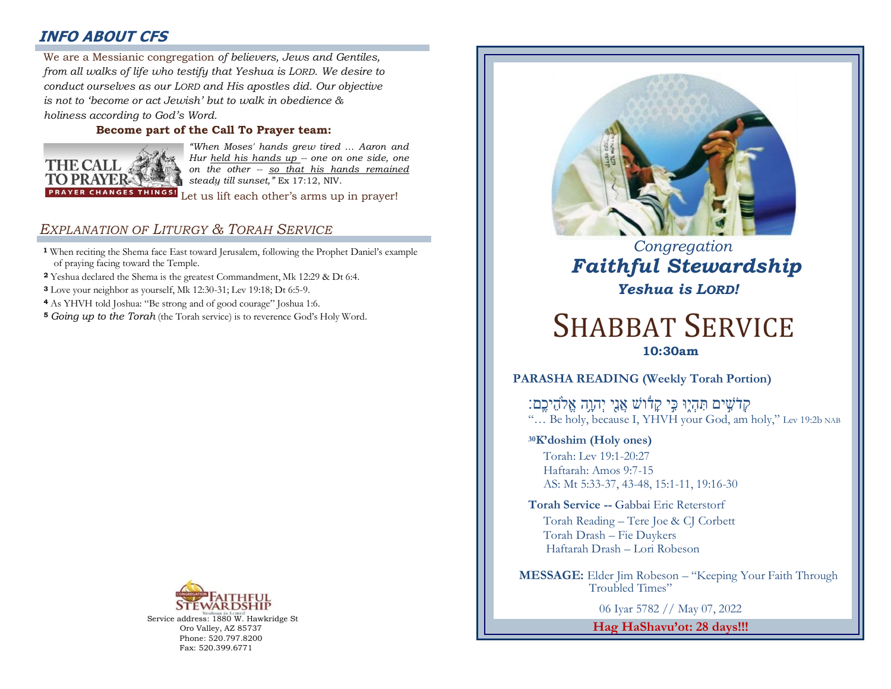# **INFO ABOUT CFS**

: *from all walks of life who testify that Yeshua is LORD. We desire to*  We are a Messianic congregation *of believers, Jews and Gentiles, conduct ourselves as our LORD and His apostles did. Our objective is not to 'become or act Jewish' but to walk in obedience & holiness according to God's Word.* 

### **Become part of the Call To Prayer team:**



*"When Moses' hands grew tired … Aaron and Hur held his hands up -- one on one side, one on the other -- so that his hands remained steady till sunset,"* Ex 17:12, NIV.

Let us lift each other's arms up in prayer!

# *EXPLANATION OF LITURGY & TORAH SERVICE*

- **<sup>1</sup>** When reciting the Shema face East toward Jerusalem, following the Prophet Daniel's example of praying facing toward the Temple.
- **<sup>2</sup>** Yeshua declared the Shema is the greatest Commandment, Mk 12:29 & Dt 6:4.
- **<sup>3</sup>** Love your neighbor as yourself, Mk 12:30-31; Lev 19:18; Dt 6:5-9.
- **<sup>4</sup>** As YHVH told Joshua: "Be strong and of good courage" Joshua 1:6.
- **<sup>5</sup>** *Going up to the Torah* (the Torah service) is to reverence God's Holy Word.



Service address: 1880 W. Hawkridge St Oro Valley, AZ 85737 Phone: 520.797.8200 Fax: 520.399.6771



 *Congregation Faithful Stewardship Yeshua is LORD!*

# SHABBAT SERVICE **10:30am**

## **PARASHA READING (Weekly Torah Portion)**

ְּקְדֹשֵׁים תְּהָיָוּ כֵּי קַדֿוֹשׁ אֲנֵי יְהוֵה אֱלֹהֵיכֵם: "… Be holy, because I, YHVH your God, am holy," Lev 19:2b NAB

**<sup>30</sup>K'doshim (Holy ones)**

Torah: Lev 19:1-20:27 Haftarah: Amos 9:7-15 AS: Mt 5:33-37, 43-48, 15:1-11, 19:16-30

**Torah Service --** Gabbai Eric Reterstorf Torah Reading – Tere Joe & CJ Corbett Torah Drash – Fie Duykers Haftarah Drash – Lori Robeson

 **MESSAGE:** Elder Jim Robeson – "Keeping Your Faith Through Troubled Times"

06 Iyar 5782 // May 07, 2022

**Hag HaShavu'ot: 28 days!!!**